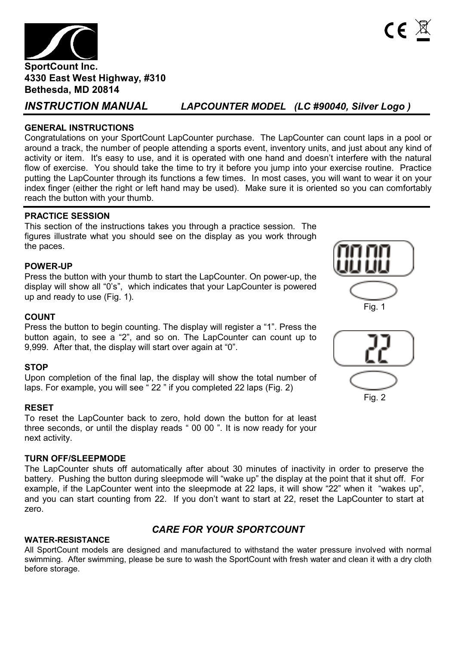

*INSTRUCTION MANUAL LAPCOUNTER MODEL (LC #90040, Silver Logo )* 

# **GENERAL INSTRUCTIONS**

Congratulations on your SportCount LapCounter purchase. The LapCounter can count laps in a pool or around a track, the number of people attending a sports event, inventory units, and just about any kind of activity or item. It's easy to use, and it is operated with one hand and doesn't interfere with the natural flow of exercise. You should take the time to try it before you jump into your exercise routine. Practice putting the LapCounter through its functions a few times. In most cases, you will want to wear it on your index finger (either the right or left hand may be used). Make sure it is oriented so you can comfortably reach the button with your thumb.

# **PRACTICE SESSION**

This section of the instructions takes you through a practice session. The figures illustrate what you should see on the display as you work through the paces.

# **POWER-UP**

Press the button with your thumb to start the LapCounter. On power-up, the display will show all "0's", which indicates that your LapCounter is powered up and ready to use (Fig. 1).



#### **COUNT**

Press the button to begin counting. The display will register a "1". Press the button again, to see a "2", and so on. The LapCounter can count up to 9,999. After that, the display will start over again at "0".

### **STOP**

Upon completion of the final lap, the display will show the total number of laps. For example, you will see " 22 " if you completed 22 laps (Fig. 2)

#### **RESET**

To reset the LapCounter back to zero, hold down the button for at least three seconds, or until the display reads " 00 00 ". It is now ready for your next activity.

#### **TURN OFF/SLEEPMODE**

The LapCounter shuts off automatically after about 30 minutes of inactivity in order to preserve the battery. Pushing the button during sleepmode will "wake up" the display at the point that it shut off. For example, if the LapCounter went into the sleepmode at 22 laps, it will show "22" when it "wakes up", and you can start counting from 22. If you don't want to start at 22, reset the LapCounter to start at zero.

# *CARE FOR YOUR SPORTCOUNT*

#### **WATER-RESISTANCE**

All SportCount models are designed and manufactured to withstand the water pressure involved with normal swimming. After swimming, please be sure to wash the SportCount with fresh water and clean it with a dry cloth before storage.

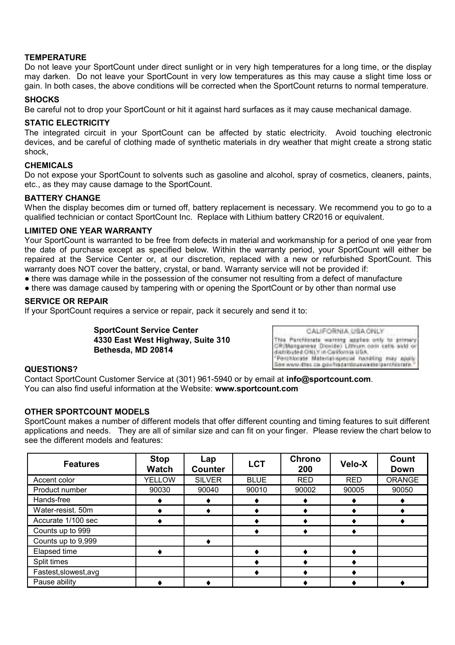#### **TEMPERATURE**

Do not leave your SportCount under direct sunlight or in very high temperatures for a long time, or the display may darken. Do not leave your SportCount in very low temperatures as this may cause a slight time loss or gain. In both cases, the above conditions will be corrected when the SportCount returns to normal temperature.

#### **SHOCKS**

Be careful not to drop your SportCount or hit it against hard surfaces as it may cause mechanical damage.

#### **STATIC ELECTRICITY**

The integrated circuit in your SportCount can be affected by static electricity. Avoid touching electronic devices, and be careful of clothing made of synthetic materials in dry weather that might create a strong static shock,

#### **CHEMICALS**

Do not expose your SportCount to solvents such as gasoline and alcohol, spray of cosmetics, cleaners, paints, etc., as they may cause damage to the SportCount.

#### **BATTERY CHANGE**

When the display becomes dim or turned off, battery replacement is necessary. We recommend you to go to a qualified technician or contact SportCount Inc. Replace with Lithium battery CR2016 or equivalent.

#### **LIMITED ONE YEAR WARRANTY**

Your SportCount is warranted to be free from defects in material and workmanship for a period of one year from the date of purchase except as specified below. Within the warranty period, your SportCount will either be repaired at the Service Center or, at our discretion, replaced with a new or refurbished SportCount. This warranty does NOT cover the battery, crystal, or band. Warranty service will not be provided if:

- there was damage while in the possession of the consumer not resulting from a defect of manufacture
- there was damage caused by tampering with or opening the SportCount or by other than normal use

### **SERVICE OR REPAIR**

If your SportCount requires a service or repair, pack it securely and send it to:

**SportCount Service Center 4330 East West Highway, Suite 310 Bethesda, MD 20814**

CALIFORNIA USA ONLY This Parchizrate warning applies only to primary<br>CRIMangaress Dicoide) Litrium coin cells said or distributed ONLY in California USA "Perchlorate Material-special handling may apply<br>See www.dtec.ca.gov/tracantouswa-sterperchlorate."

#### **QUESTIONS?**

Contact SportCount Customer Service at (301) 961-5940 or by email at **info@sportcount.com**. You can also find useful information at the Website: **www.sportcount.com**

#### **OTHER SPORTCOUNT MODELS**

SportCount makes a number of different models that offer different counting and timing features to suit different applications and needs. They are all of similar size and can fit on your finger. Please review the chart below to see the different models and features:

| <b>Features</b>       | Stop<br>Watch | Lap<br>Counter | <b>LCT</b>  | Chrono<br>200 | Velo-X     | Count<br>Down |
|-----------------------|---------------|----------------|-------------|---------------|------------|---------------|
| Accent color          | <b>YELLOW</b> | <b>SILVER</b>  | <b>BLUE</b> | <b>RED</b>    | <b>RED</b> | <b>ORANGE</b> |
| Product number        | 90030         | 90040          | 90010       | 90002         | 90005      | 90050         |
| Hands-free            |               |                |             |               |            |               |
| Water-resist. 50m     |               |                |             |               |            |               |
| Accurate 1/100 sec    |               |                |             |               |            |               |
| Counts up to 999      |               |                |             |               |            |               |
| Counts up to 9,999    |               |                |             |               |            |               |
| Elapsed time          |               |                |             |               |            |               |
| Split times           |               |                |             |               |            |               |
| Fastest, slowest, avg |               |                |             |               |            |               |
| Pause ability         |               |                |             |               |            |               |